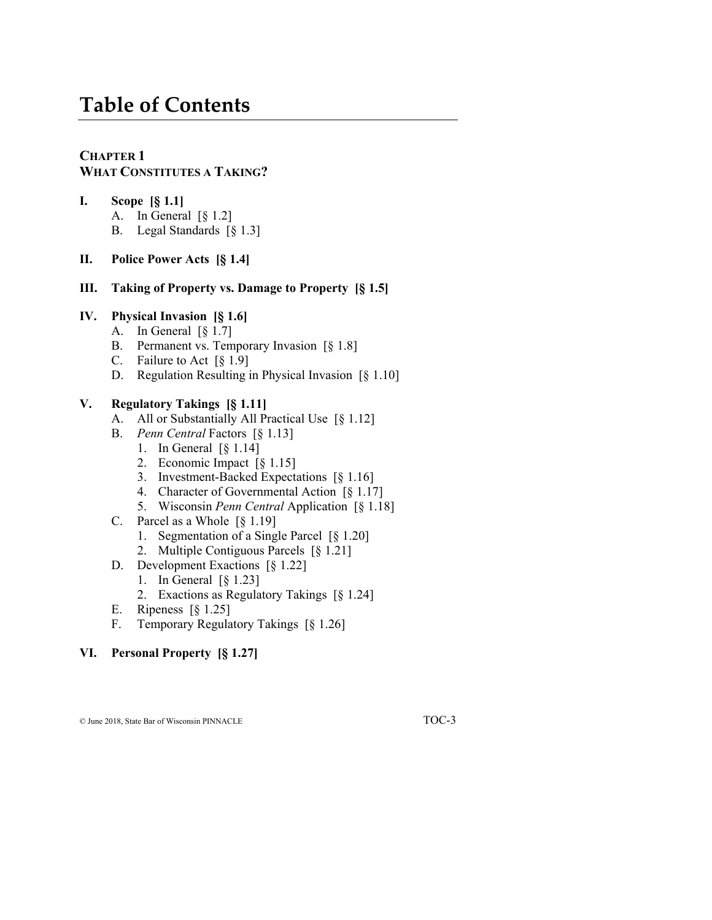# **Table of Contents**

#### **CHAPTER 1 WHAT CONSTITUTES A TAKING?**

- **I. Scope [§ 1.1]** A. In General  $\lceil \S 1.2 \rceil$ B. Legal Standards [§ 1.3]
- **II. Police Power Acts [§ 1.4]**
- **III. Taking of Property vs. Damage to Property [§ 1.5]**

#### **IV. Physical Invasion [§ 1.6]**

- A. In General [§ 1.7]
- B. Permanent vs. Temporary Invasion [§ 1.8]
- C. Failure to Act [§ 1.9]
- D. Regulation Resulting in Physical Invasion [§ 1.10]

#### **V. Regulatory Takings [§ 1.11]**

- A. All or Substantially All Practical Use [§ 1.12]
- B. *Penn Central* Factors [§ 1.13]
	- 1. In General [§ 1.14]
	- 2. Economic Impact [§ 1.15]
	- 3. Investment-Backed Expectations [§ 1.16]
	- 4. Character of Governmental Action [§ 1.17]
	- 5. Wisconsin *Penn Central* Application [§ 1.18]
- C. Parcel as a Whole [§ 1.19]
	- 1. Segmentation of a Single Parcel [§ 1.20]
	- 2. Multiple Contiguous Parcels [§ 1.21]
- D. Development Exactions [§ 1.22]
	- 1. In General [§ 1.23]
	- 2. Exactions as Regulatory Takings [§ 1.24]
- E. Ripeness [§ 1.25]
- F. Temporary Regulatory Takings [§ 1.26]

#### **VI. Personal Property [§ 1.27]**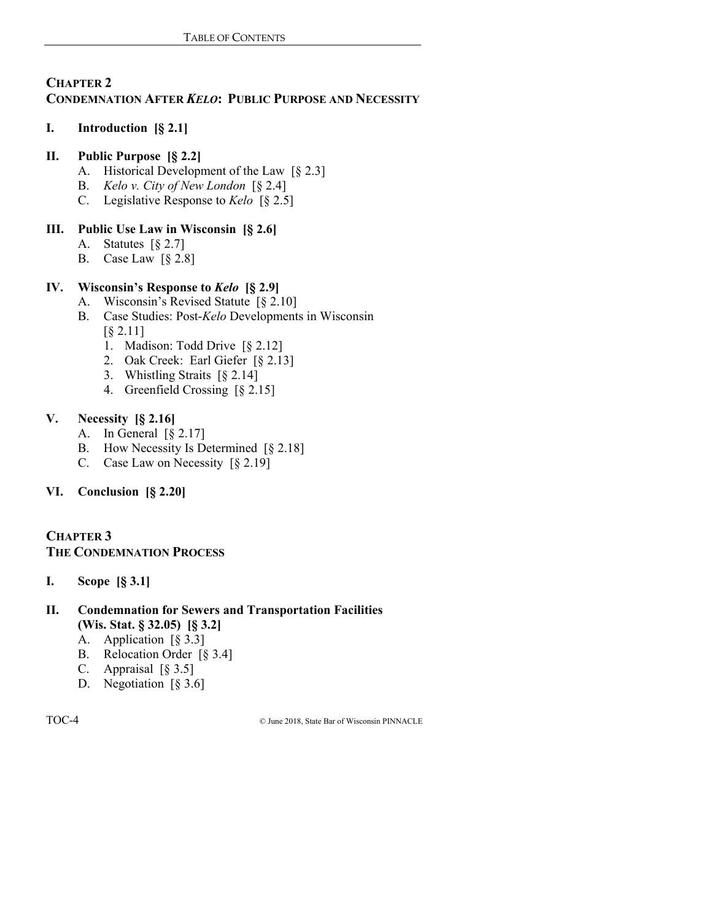#### **CHAPTER 2 CONDEMNATION AFTER** *KELO***: PUBLIC PURPOSE AND NECESSITY**

# **I. Introduction [§ 2.1]**

# **II. Public Purpose [§ 2.2]**

- A. Historical Development of the Law [§ 2.3]
- B. *Kelo v. City of New London* [§ 2.4]
- C. Legislative Response to *Kelo* [§ 2.5]

# **III. Public Use Law in Wisconsin [§ 2.6]**

- A. Statutes [§ 2.7]
- B. Case Law [§ 2.8]

# **IV. Wisconsin's Response to** *Kelo* **[§ 2.9]**

- A. Wisconsin's Revised Statute [§ 2.10]
- B. Case Studies: Post-*Kelo* Developments in Wisconsin [§ 2.11]
	- 1. Madison: Todd Drive [§ 2.12]
	- 2. Oak Creek: Earl Giefer [§ 2.13]
	- 3. Whistling Straits [§ 2.14]
	- 4. Greenfield Crossing [§ 2.15]

# **V. Necessity [§ 2.16]**

- A. In General [§ 2.17]
- B. How Necessity Is Determined [§ 2.18]
- C. Case Law on Necessity [§ 2.19]

# **VI. Conclusion [§ 2.20]**

# **CHAPTER 3 THE CONDEMNATION PROCESS**

- **I. Scope [§ 3.1]**
- **II. Condemnation for Sewers and Transportation Facilities (Wis. Stat. § 32.05) [§ 3.2]**
	- A. Application [§ 3.3]
	- B. Relocation Order [§ 3.4]
	- C. Appraisal [§ 3.5]
	- D. Negotiation [§ 3.6]

TOC-4 © June 2018, State Bar of Wisconsin PINNACLE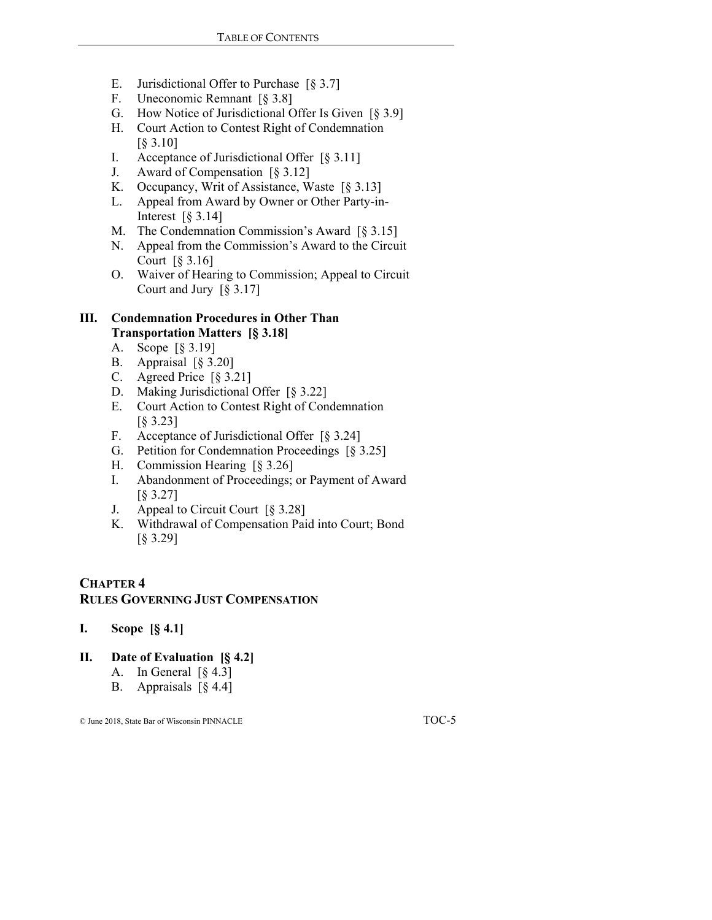- E. Jurisdictional Offer to Purchase [§ 3.7]
- F. Uneconomic Remnant [§ 3.8]
- G. How Notice of Jurisdictional Offer Is Given [§ 3.9]
- H. Court Action to Contest Right of Condemnation [§ 3.10]
- I. Acceptance of Jurisdictional Offer [§ 3.11]
- J. Award of Compensation [§ 3.12]
- K. Occupancy, Writ of Assistance, Waste [§ 3.13]
- L. Appeal from Award by Owner or Other Party-in-Interest  $\lceil \S 3.14 \rceil$
- M. The Condemnation Commission's Award [§ 3.15]
- N. Appeal from the Commission's Award to the Circuit Court [§ 3.16]
- O. Waiver of Hearing to Commission; Appeal to Circuit Court and Jury [§ 3.17]

#### **III. Condemnation Procedures in Other Than Transportation Matters [§ 3.18]**

- A. Scope [§ 3.19]
- B. Appraisal [§ 3.20]
- C. Agreed Price [§ 3.21]
- D. Making Jurisdictional Offer [§ 3.22]
- E. Court Action to Contest Right of Condemnation [§ 3.23]
- F. Acceptance of Jurisdictional Offer [§ 3.24]
- G. Petition for Condemnation Proceedings [§ 3.25]
- H. Commission Hearing [§ 3.26]
- I. Abandonment of Proceedings; or Payment of Award [§ 3.27]
- J. Appeal to Circuit Court [§ 3.28]
- K. Withdrawal of Compensation Paid into Court; Bond [§ 3.29]

#### **CHAPTER 4 RULES GOVERNING JUST COMPENSATION**

**I. Scope [§ 4.1]**

#### **II. Date of Evaluation [§ 4.2]**

- A. In General  $\lceil \S 4.3 \rceil$
- B. Appraisals [§ 4.4]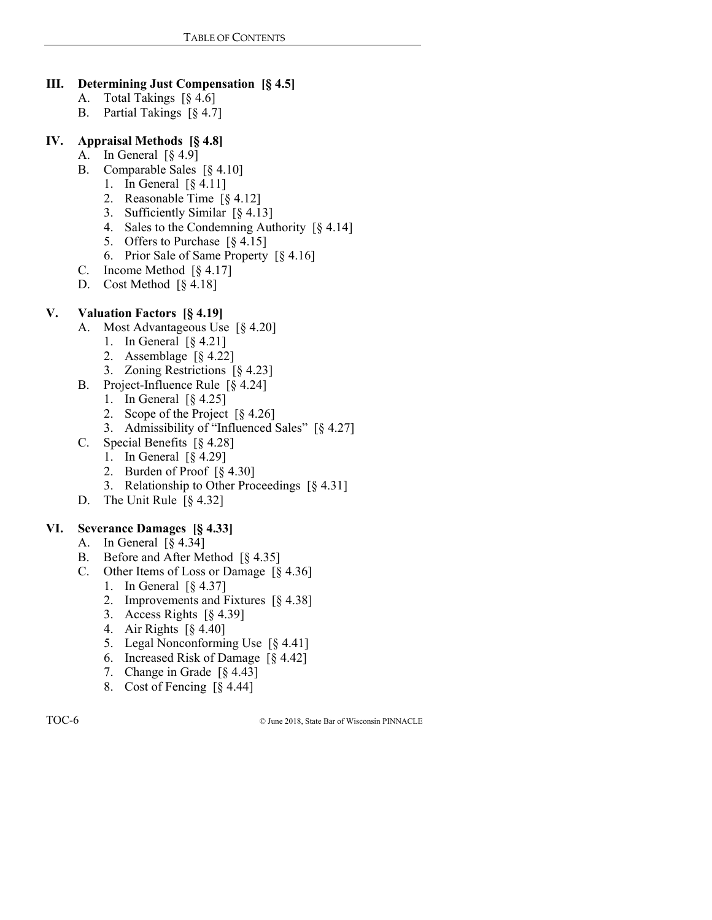### **III. Determining Just Compensation [§ 4.5]**

- A. Total Takings [§ 4.6]
- B. Partial Takings [§ 4.7]

#### **IV. Appraisal Methods [§ 4.8]**

- A. In General [§ 4.9]
- B. Comparable Sales [§ 4.10]
	- 1. In General [§ 4.11]
	- 2. Reasonable Time [§ 4.12]
	- 3. Sufficiently Similar [§ 4.13]
	- 4. Sales to the Condemning Authority [§ 4.14]
	- 5. Offers to Purchase [§ 4.15]
	- 6. Prior Sale of Same Property [§ 4.16]
- C. Income Method [§ 4.17]
- D. Cost Method [§ 4.18]

# **V. Valuation Factors [§ 4.19]**

- A. Most Advantageous Use [§ 4.20]
	- 1. In General [§ 4.21]
	- 2. Assemblage [§ 4.22]
	- 3. Zoning Restrictions [§ 4.23]
- B. Project-Influence Rule [§ 4.24]
	- 1. In General [§ 4.25]
	- 2. Scope of the Project [§ 4.26]
	- 3. Admissibility of "Influenced Sales" [§ 4.27]
- C. Special Benefits [§ 4.28]
	- 1. In General [§ 4.29]
	- 2. Burden of Proof [§ 4.30]
	- 3. Relationship to Other Proceedings [§ 4.31]
- D. The Unit Rule [§ 4.32]

#### **VI. Severance Damages [§ 4.33]**

- A. In General [§ 4.34]
- B. Before and After Method [§ 4.35]
- C. Other Items of Loss or Damage [§ 4.36]
	- 1. In General [§ 4.37]
	- 2. Improvements and Fixtures [§ 4.38]
	- 3. Access Rights [§ 4.39]
	- 4. Air Rights [§ 4.40]
	- 5. Legal Nonconforming Use [§ 4.41]
	- 6. Increased Risk of Damage [§ 4.42]
	- 7. Change in Grade [§ 4.43]
	- 8. Cost of Fencing [§ 4.44]

TOC-6 © June 2018, State Bar of Wisconsin PINNACLE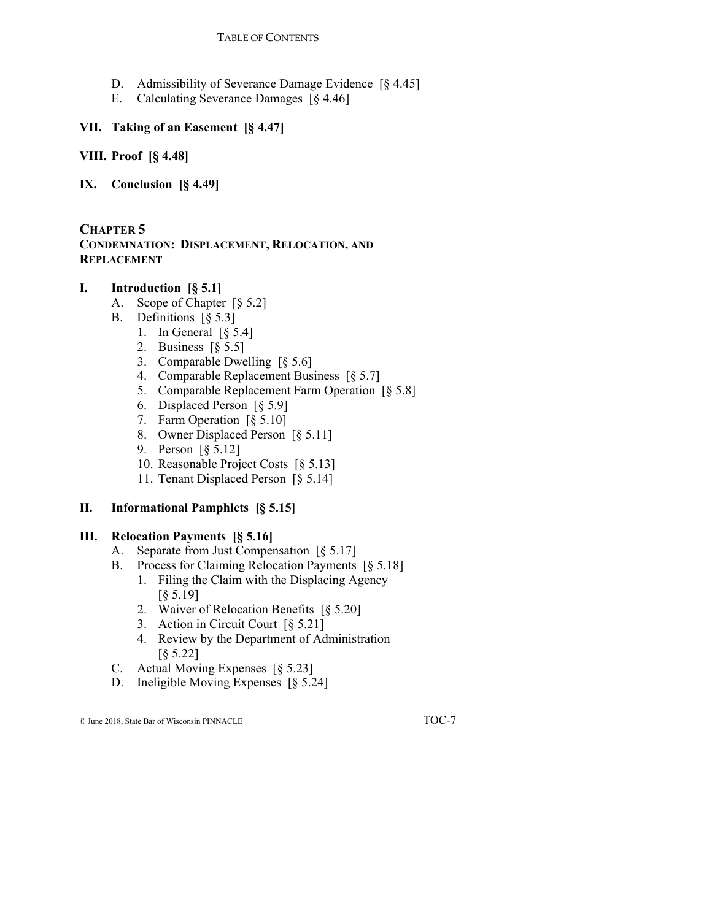- D. Admissibility of Severance Damage Evidence [§ 4.45]
- E. Calculating Severance Damages [§ 4.46]

### **VII. Taking of an Easement [§ 4.47]**

**VIII. Proof [§ 4.48]**

**IX. Conclusion [§ 4.49]**

**CHAPTER 5 CONDEMNATION: DISPLACEMENT, RELOCATION, AND REPLACEMENT**

#### **I. Introduction [§ 5.1]**

- A. Scope of Chapter [§ 5.2]
- B. Definitions [§ 5.3]
	- 1. In General [§ 5.4]
	- 2. Business [§ 5.5]
	- 3. Comparable Dwelling [§ 5.6]
	- 4. Comparable Replacement Business [§ 5.7]
	- 5. Comparable Replacement Farm Operation [§ 5.8]
	- 6. Displaced Person [§ 5.9]
	- 7. Farm Operation [§ 5.10]
	- 8. Owner Displaced Person [§ 5.11]
	- 9. Person [§ 5.12]
	- 10. Reasonable Project Costs [§ 5.13]
	- 11. Tenant Displaced Person [§ 5.14]

# **II. Informational Pamphlets [§ 5.15]**

#### **III. Relocation Payments [§ 5.16]**

- A. Separate from Just Compensation [§ 5.17]
- B. Process for Claiming Relocation Payments [§ 5.18]
	- 1. Filing the Claim with the Displacing Agency [§ 5.19]
	- 2. Waiver of Relocation Benefits [§ 5.20]
	- 3. Action in Circuit Court [§ 5.21]
	- 4. Review by the Department of Administration [§ 5.22]
- C. Actual Moving Expenses [§ 5.23]
- D. Ineligible Moving Expenses [§ 5.24]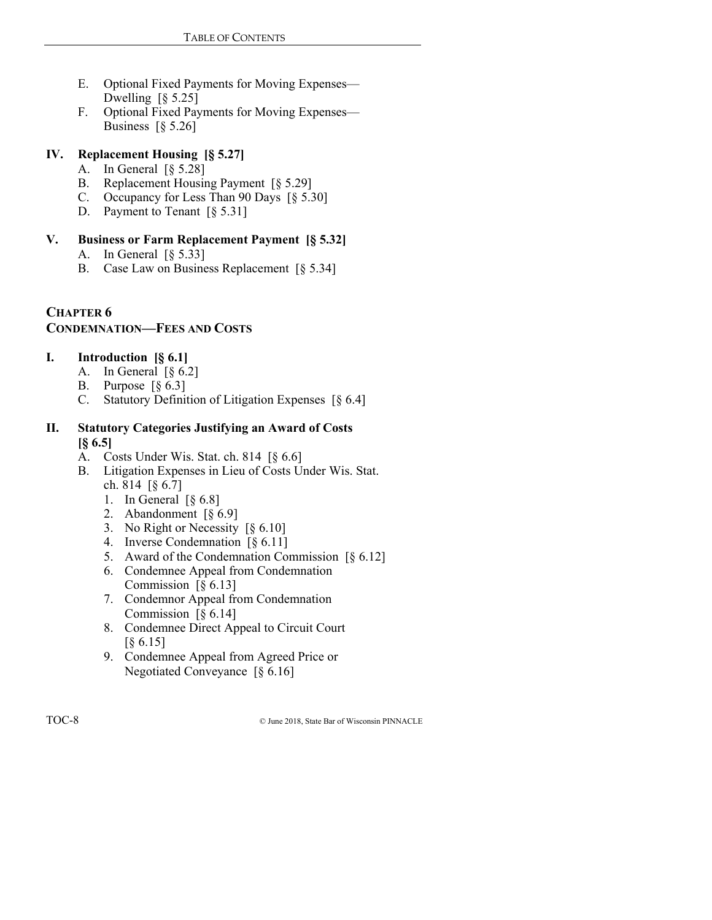- E. Optional Fixed Payments for Moving Expenses— Dwelling  $\lceil 8 \rceil$  5.25]
- F. Optional Fixed Payments for Moving Expenses— Business  $\lceil \S 5.26 \rceil$

# **IV. Replacement Housing [§ 5.27]**

- A. In General [§ 5.28]
- B. Replacement Housing Payment [§ 5.29]
- C. Occupancy for Less Than 90 Days [§ 5.30]
- D. Payment to Tenant [§ 5.31]

# **V. Business or Farm Replacement Payment [§ 5.32]**

- A. In General [§ 5.33]
- B. Case Law on Business Replacement [§ 5.34]

#### **CHAPTER 6 CONDEMNATION—FEES AND COSTS**

# **I. Introduction [§ 6.1]**

- A. In General  $\lceil \S 6.2 \rceil$
- B. Purpose  $\lceil \xi \ 6.3 \rceil$
- C. Statutory Definition of Litigation Expenses [§ 6.4]

#### **II. Statutory Categories Justifying an Award of Costs [§ 6.5]**

- A. Costs Under Wis. Stat. ch. 814 [§ 6.6]
- B. Litigation Expenses in Lieu of Costs Under Wis. Stat. ch. 814 [§ 6.7]
	- 1. In General  $\lceil \S 6.8 \rceil$
	- 2. Abandonment [§ 6.9]
	- 3. No Right or Necessity [§ 6.10]
	- 4. Inverse Condemnation [§ 6.11]
	- 5. Award of the Condemnation Commission [§ 6.12]
	- 6. Condemnee Appeal from Condemnation Commission [§ 6.13]
	- 7. Condemnor Appeal from Condemnation Commission  $\lceil \S 6.14 \rceil$
	- 8. Condemnee Direct Appeal to Circuit Court [§ 6.15]
	- 9. Condemnee Appeal from Agreed Price or Negotiated Conveyance [§ 6.16]

TOC-8 © June 2018, State Bar of Wisconsin PINNACLE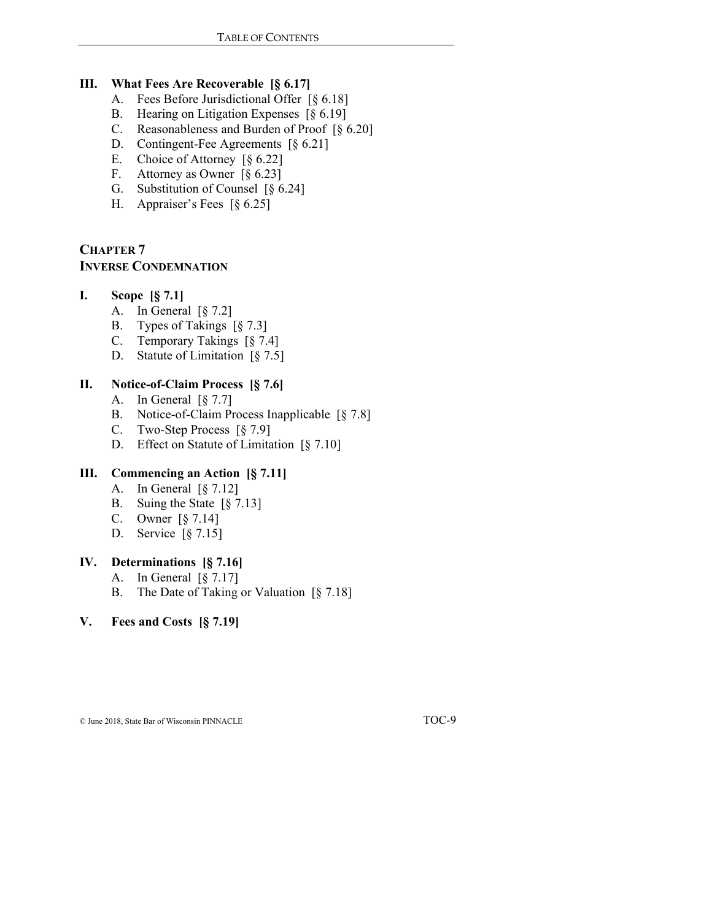#### **III. What Fees Are Recoverable [§ 6.17]**

- A. Fees Before Jurisdictional Offer [§ 6.18]
- B. Hearing on Litigation Expenses [§ 6.19]
- C. Reasonableness and Burden of Proof [§ 6.20]
- D. Contingent-Fee Agreements [§ 6.21]
- E. Choice of Attorney [§ 6.22]
- F. Attorney as Owner [§ 6.23]
- G. Substitution of Counsel [§ 6.24]
- H. Appraiser's Fees [§ 6.25]

# **CHAPTER 7 INVERSE CONDEMNATION**

#### **I. Scope [§ 7.1]**

- A. In General [§ 7.2]
- B. Types of Takings [§ 7.3]
- C. Temporary Takings [§ 7.4]
- D. Statute of Limitation [§ 7.5]

#### **II. Notice-of-Claim Process [§ 7.6]**

- A. In General [§ 7.7]
- B. Notice-of-Claim Process Inapplicable [§ 7.8]
- C. Two-Step Process [§ 7.9]
- D. Effect on Statute of Limitation [§ 7.10]

#### **III. Commencing an Action [§ 7.11]**

- A. In General [§ 7.12]
- B. Suing the State [§ 7.13]
- C. Owner [§ 7.14]
- D. Service [§ 7.15]

#### **IV. Determinations [§ 7.16]**

- A. In General  $\lceil \frac{6}{5} \rceil$  7.17]
- B. The Date of Taking or Valuation [§ 7.18]

#### **V. Fees and Costs [§ 7.19]**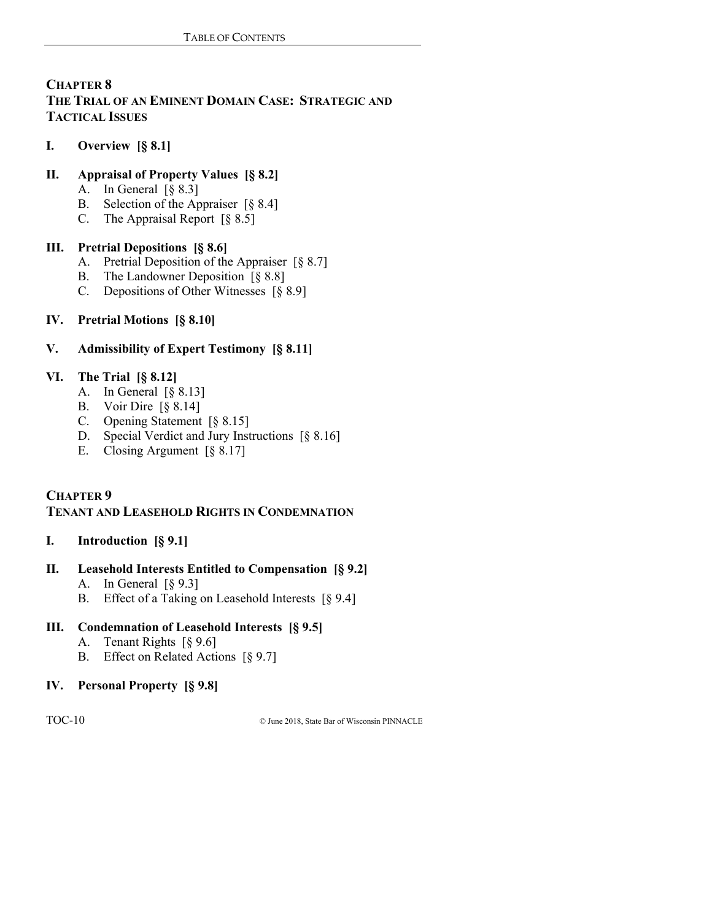# **CHAPTER 8 THE TRIAL OF AN EMINENT DOMAIN CASE: STRATEGIC AND TACTICAL ISSUES**

**I. Overview [§ 8.1]**

# **II. Appraisal of Property Values [§ 8.2]**

- A. In General [§ 8.3]
- B. Selection of the Appraiser [§ 8.4]
- C. The Appraisal Report  $\lbrack \S$  8.5]

# **III. Pretrial Depositions [§ 8.6]**

- A. Pretrial Deposition of the Appraiser [§ 8.7]
- B. The Landowner Deposition [§ 8.8]
- C. Depositions of Other Witnesses [§ 8.9]

# **IV. Pretrial Motions [§ 8.10]**

# **V. Admissibility of Expert Testimony [§ 8.11]**

# **VI. The Trial [§ 8.12]**

- A. In General [§ 8.13]
- B. Voir Dire [§ 8.14]
- C. Opening Statement [§ 8.15]
- D. Special Verdict and Jury Instructions [§ 8.16]
- E. Closing Argument [§ 8.17]

# **CHAPTER 9**

# **TENANT AND LEASEHOLD RIGHTS IN CONDEMNATION**

# **I. Introduction [§ 9.1]**

# **II. Leasehold Interests Entitled to Compensation [§ 9.2]**

- A. In General [§ 9.3]
- B. Effect of a Taking on Leasehold Interests [§ 9.4]

# **III. Condemnation of Leasehold Interests [§ 9.5]**

- A. Tenant Rights [§ 9.6]
- B. Effect on Related Actions [§ 9.7]

# **IV. Personal Property [§ 9.8]**

TOC-10 © June 2018, State Bar of Wisconsin PINNACLE